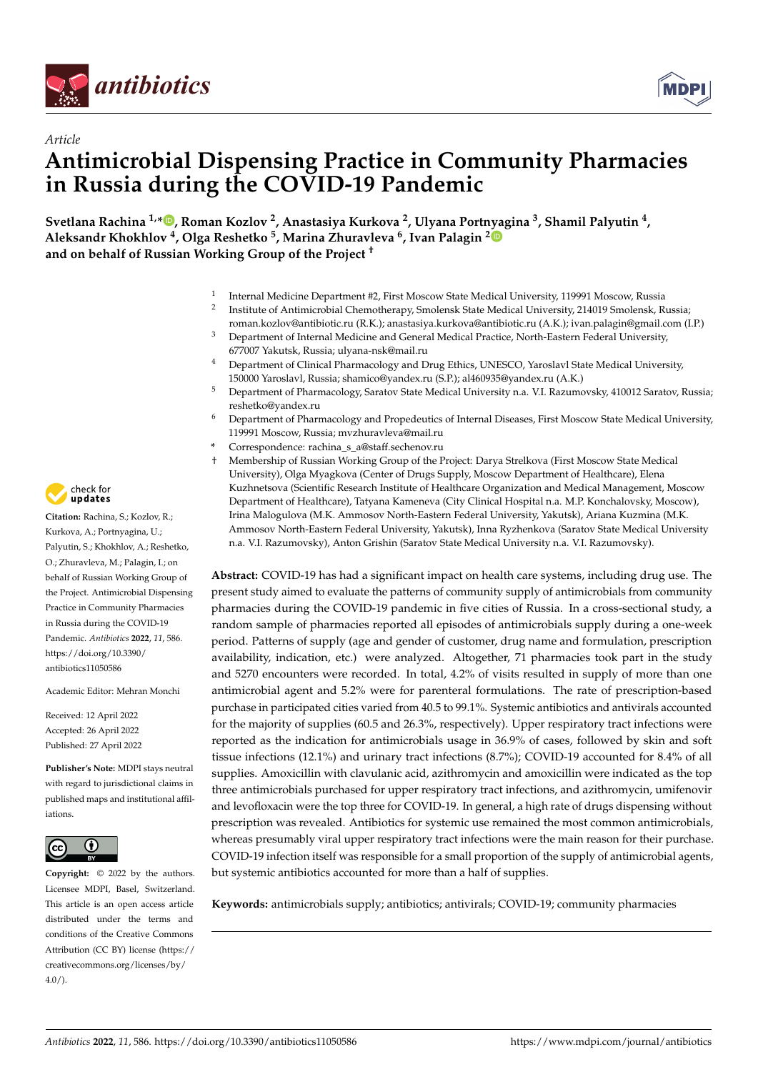



# *Article* **Antimicrobial Dispensing Practice in Community Pharmacies in Russia during the COVID-19 Pandemic**

**Svetlana Rachina 1,[\\*](https://orcid.org/0000-0002-3329-7846) , Roman Kozlov <sup>2</sup> , Anastasiya Kurkova <sup>2</sup> , Ulyana Port[nya](https://orcid.org/0000-0001-9613-9717)gina <sup>3</sup> , Shamil Palyutin <sup>4</sup> , Aleksandr Khokhlov <sup>4</sup> , Olga Reshetko <sup>5</sup> , Marina Zhuravleva <sup>6</sup> , Ivan Palagin <sup>2</sup> and on behalf of Russian Working Group of the Project †**

- 1 Internal Medicine Department #2, First Moscow State Medical University, 119991 Moscow, Russia
- 2 Institute of Antimicrobial Chemotherapy, Smolensk State Medical University, 214019 Smolensk, Russia; roman.kozlov@antibiotic.ru (R.K.); anastasiya.kurkova@antibiotic.ru (A.K.); ivan.palagin@gmail.com (I.P.)
- <sup>3</sup> Department of Internal Medicine and General Medical Practice, North-Eastern Federal University, 677007 Yakutsk, Russia; ulyana-nsk@mail.ru
- <sup>4</sup> Department of Clinical Pharmacology and Drug Ethics, UNESCO, Yaroslavl State Medical University, 150000 Yaroslavl, Russia; shamico@yandex.ru (S.P.); al460935@yandex.ru (A.K.)
- <sup>5</sup> Department of Pharmacology, Saratov State Medical University n.a. V.I. Razumovsky, 410012 Saratov, Russia; reshetko@yandex.ru
- <sup>6</sup> Department of Pharmacology and Propedeutics of Internal Diseases, First Moscow State Medical University, 119991 Moscow, Russia; mvzhuravleva@mail.ru
- **\*** Correspondence: rachina\_s\_a@staff.sechenov.ru
- † Membership of Russian Working Group of the Project: Darya Strelkova (First Moscow State Medical University), Olga Myagkova (Center of Drugs Supply, Moscow Department of Healthcare), Elena Kuzhnetsova (Scientific Research Institute of Healthcare Organization and Medical Management, Moscow Department of Healthcare), Tatyana Kameneva (City Clinical Hospital n.a. M.P. Konchalovsky, Moscow), Irina Malogulova (M.K. Ammosov North-Eastern Federal University, Yakutsk), Ariana Kuzmina (M.K. Ammosov North-Eastern Federal University, Yakutsk), Inna Ryzhenkova (Saratov State Medical University n.a. V.I. Razumovsky), Anton Grishin (Saratov State Medical University n.a. V.I. Razumovsky).

**Abstract:** COVID-19 has had a significant impact on health care systems, including drug use. The present study aimed to evaluate the patterns of community supply of antimicrobials from community pharmacies during the COVID-19 pandemic in five cities of Russia. In a cross-sectional study, a random sample of pharmacies reported all episodes of antimicrobials supply during a one-week period. Patterns of supply (age and gender of customer, drug name and formulation, prescription availability, indication, etc.) were analyzed. Altogether, 71 pharmacies took part in the study and 5270 encounters were recorded. In total, 4.2% of visits resulted in supply of more than one antimicrobial agent and 5.2% were for parenteral formulations. The rate of prescription-based purchase in participated cities varied from 40.5 to 99.1%. Systemic antibiotics and antivirals accounted for the majority of supplies (60.5 and 26.3%, respectively). Upper respiratory tract infections were reported as the indication for antimicrobials usage in 36.9% of cases, followed by skin and soft tissue infections (12.1%) and urinary tract infections (8.7%); COVID-19 accounted for 8.4% of all supplies. Amoxicillin with clavulanic acid, azithromycin and amoxicillin were indicated as the top three antimicrobials purchased for upper respiratory tract infections, and azithromycin, umifenovir and levofloxacin were the top three for COVID-19. In general, a high rate of drugs dispensing without prescription was revealed. Antibiotics for systemic use remained the most common antimicrobials, whereas presumably viral upper respiratory tract infections were the main reason for their purchase. COVID-19 infection itself was responsible for a small proportion of the supply of antimicrobial agents, but systemic antibiotics accounted for more than a half of supplies.

**Keywords:** antimicrobials supply; antibiotics; antivirals; COVID-19; community pharmacies



**Citation:** Rachina, S.; Kozlov, R.; Kurkova, A.; Portnyagina, U.; Palyutin, S.; Khokhlov, A.; Reshetko, O.; Zhuravleva, M.; Palagin, I.; on behalf of Russian Working Group of the Project. Antimicrobial Dispensing Practice in Community Pharmacies in Russia during the COVID-19 Pandemic. *Antibiotics* **2022**, *11*, 586. [https://doi.org/10.3390/](https://doi.org/10.3390/antibiotics11050586) [antibiotics11050586](https://doi.org/10.3390/antibiotics11050586)

Academic Editor: Mehran Monchi

Received: 12 April 2022 Accepted: 26 April 2022 Published: 27 April 2022

**Publisher's Note:** MDPI stays neutral with regard to jurisdictional claims in published maps and institutional affiliations.



**Copyright:** © 2022 by the authors. Licensee MDPI, Basel, Switzerland. This article is an open access article distributed under the terms and conditions of the Creative Commons Attribution (CC BY) license [\(https://](https://creativecommons.org/licenses/by/4.0/) [creativecommons.org/licenses/by/](https://creativecommons.org/licenses/by/4.0/)  $4.0/$ ).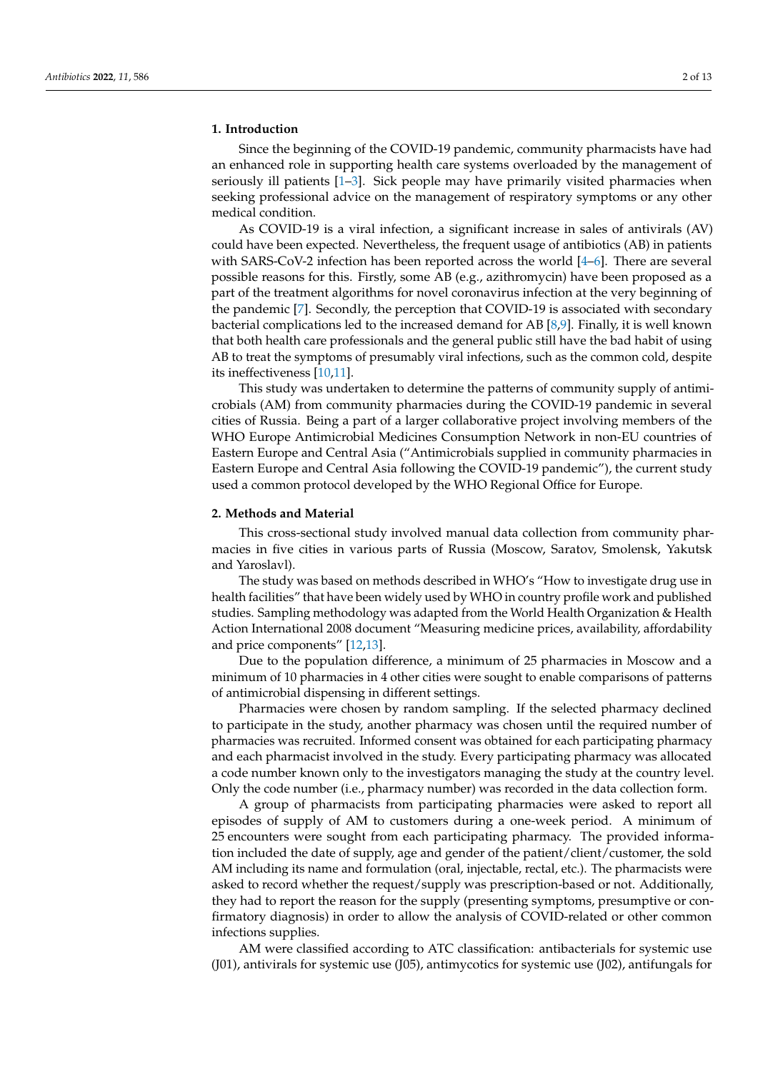# **1. Introduction**

Since the beginning of the COVID-19 pandemic, community pharmacists have had an enhanced role in supporting health care systems overloaded by the management of seriously ill patients [\[1](#page-11-0)[–3\]](#page-11-1). Sick people may have primarily visited pharmacies when seeking professional advice on the management of respiratory symptoms or any other medical condition.

As COVID-19 is a viral infection, a significant increase in sales of antivirals (AV) could have been expected. Nevertheless, the frequent usage of antibiotics (AB) in patients with SARS-CoV-2 infection has been reported across the world [\[4–](#page-11-2)[6\]](#page-11-3). There are several possible reasons for this. Firstly, some AB (e.g., azithromycin) have been proposed as a part of the treatment algorithms for novel coronavirus infection at the very beginning of the pandemic [\[7\]](#page-11-4). Secondly, the perception that COVID-19 is associated with secondary bacterial complications led to the increased demand for AB [\[8,](#page-11-5)[9\]](#page-11-6). Finally, it is well known that both health care professionals and the general public still have the bad habit of using AB to treat the symptoms of presumably viral infections, such as the common cold, despite its ineffectiveness [\[10,](#page-11-7)[11\]](#page-11-8).

This study was undertaken to determine the patterns of community supply of antimicrobials (AM) from community pharmacies during the COVID-19 pandemic in several cities of Russia. Being a part of a larger collaborative project involving members of the WHO Europe Antimicrobial Medicines Consumption Network in non-EU countries of Eastern Europe and Central Asia ("Antimicrobials supplied in community pharmacies in Eastern Europe and Central Asia following the COVID-19 pandemic"), the current study used a common protocol developed by the WHO Regional Office for Europe.

### **2. Methods and Material**

This cross-sectional study involved manual data collection from community pharmacies in five cities in various parts of Russia (Moscow, Saratov, Smolensk, Yakutsk and Yaroslavl).

The study was based on methods described in WHO's "How to investigate drug use in health facilities" that have been widely used by WHO in country profile work and published studies. Sampling methodology was adapted from the World Health Organization & Health Action International 2008 document "Measuring medicine prices, availability, affordability and price components" [\[12](#page-11-9)[,13\]](#page-11-10).

Due to the population difference, a minimum of 25 pharmacies in Moscow and a minimum of 10 pharmacies in 4 other cities were sought to enable comparisons of patterns of antimicrobial dispensing in different settings.

Pharmacies were chosen by random sampling. If the selected pharmacy declined to participate in the study, another pharmacy was chosen until the required number of pharmacies was recruited. Informed consent was obtained for each participating pharmacy and each pharmacist involved in the study. Every participating pharmacy was allocated a code number known only to the investigators managing the study at the country level. Only the code number (i.e., pharmacy number) was recorded in the data collection form.

A group of pharmacists from participating pharmacies were asked to report all episodes of supply of AM to customers during a one-week period. A minimum of 25 encounters were sought from each participating pharmacy. The provided information included the date of supply, age and gender of the patient/client/customer, the sold AM including its name and formulation (oral, injectable, rectal, etc.). The pharmacists were asked to record whether the request/supply was prescription-based or not. Additionally, they had to report the reason for the supply (presenting symptoms, presumptive or confirmatory diagnosis) in order to allow the analysis of COVID-related or other common infections supplies.

AM were classified according to ATC classification: antibacterials for systemic use (J01), antivirals for systemic use (J05), antimycotics for systemic use (J02), antifungals for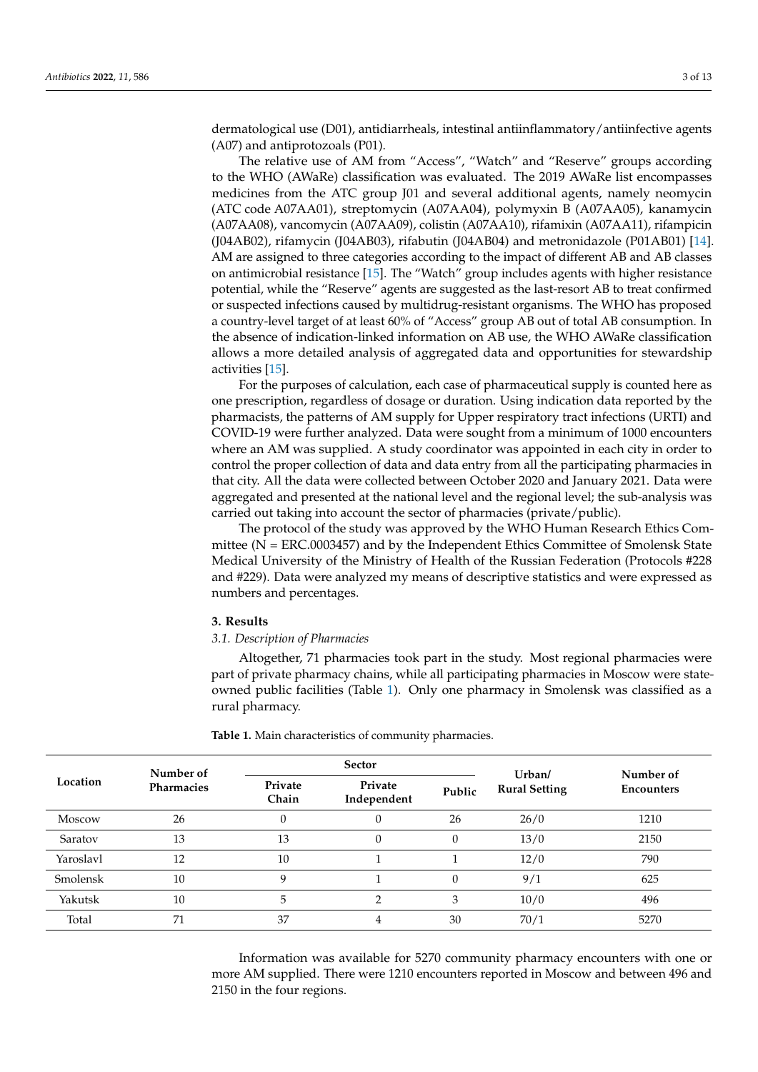dermatological use (D01), antidiarrheals, intestinal antiinflammatory/antiinfective agents (A07) and antiprotozoals (P01).

The relative use of AM from "Access", "Watch" and "Reserve" groups according to the WHO (AWaRe) classification was evaluated. The 2019 AWaRe list encompasses medicines from the ATC group J01 and several additional agents, namely neomycin (ATC code A07AA01), streptomycin (A07AA04), polymyxin B (A07AA05), kanamycin (A07AA08), vancomycin (A07AA09), colistin (A07AA10), rifamixin (A07AA11), rifampicin (J04AB02), rifamycin (J04AB03), rifabutin (J04AB04) and metronidazole (P01AB01) [\[14\]](#page-11-11). AM are assigned to three categories according to the impact of different AB and AB classes on antimicrobial resistance [\[15\]](#page-11-12). The "Watch" group includes agents with higher resistance potential, while the "Reserve" agents are suggested as the last-resort AB to treat confirmed or suspected infections caused by multidrug-resistant organisms. The WHO has proposed a country-level target of at least 60% of "Access" group AB out of total AB consumption. In the absence of indication-linked information on AB use, the WHO AWaRe classification allows a more detailed analysis of aggregated data and opportunities for stewardship activities [\[15\]](#page-11-12).

For the purposes of calculation, each case of pharmaceutical supply is counted here as one prescription, regardless of dosage or duration. Using indication data reported by the pharmacists, the patterns of AM supply for Upper respiratory tract infections (URTI) and COVID-19 were further analyzed. Data were sought from a minimum of 1000 encounters where an AM was supplied. A study coordinator was appointed in each city in order to control the proper collection of data and data entry from all the participating pharmacies in that city. All the data were collected between October 2020 and January 2021. Data were aggregated and presented at the national level and the regional level; the sub-analysis was carried out taking into account the sector of pharmacies (private/public).

The protocol of the study was approved by the WHO Human Research Ethics Committee ( $N = ERC.0003457$ ) and by the Independent Ethics Committee of Smolensk State Medical University of the Ministry of Health of the Russian Federation (Protocols #228 and #229). Data were analyzed my means of descriptive statistics and were expressed as numbers and percentages.

# **3. Results**

#### *3.1. Description of Pharmacies*

Altogether, 71 pharmacies took part in the study. Most regional pharmacies were part of private pharmacy chains, while all participating pharmacies in Moscow were stateowned public facilities (Table [1\)](#page-2-0). Only one pharmacy in Smolensk was classified as a rural pharmacy.

|           | Number of  |                  | <b>Sector</b>          |        | Urban/               | Number of         |  |
|-----------|------------|------------------|------------------------|--------|----------------------|-------------------|--|
| Location  | Pharmacies | Private<br>Chain | Private<br>Independent | Public | <b>Rural Setting</b> | <b>Encounters</b> |  |
| Moscow    | 26         | 0                | 0                      | 26     | 26/0                 | 1210              |  |
| Saratov   | 13         | 13               | $\theta$               | 0      | 13/0                 | 2150              |  |
| Yaroslavl | 12         | 10               |                        |        | 12/0                 | 790               |  |
| Smolensk  | 10         | q                |                        | 0      | 9/1                  | 625               |  |
| Yakutsk   | 10         | 5                | ◠                      | 3      | 10/0                 | 496               |  |
| Total     | 71         | 37               | 4                      | 30     | 70/1                 | 5270              |  |

<span id="page-2-0"></span>**Table 1.** Main characteristics of community pharmacies.

Information was available for 5270 community pharmacy encounters with one or more AM supplied. There were 1210 encounters reported in Moscow and between 496 and 2150 in the four regions.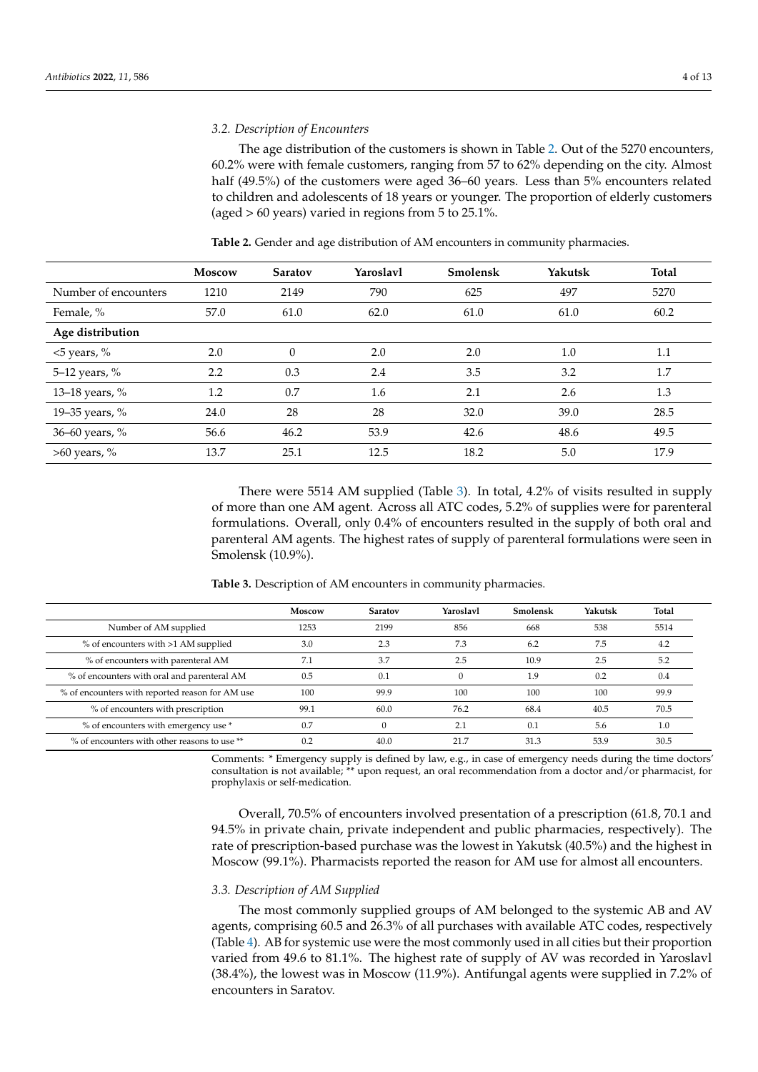# *3.2. Description of Encounters*

The age distribution of the customers is shown in Table [2.](#page-3-0) Out of the 5270 encounters, 60.2% were with female customers, ranging from 57 to 62% depending on the city. Almost half (49.5%) of the customers were aged 36–60 years. Less than 5% encounters related to children and adolescents of 18 years or younger. The proportion of elderly customers (aged > 60 years) varied in regions from 5 to 25.1%.

|                      | <b>Moscow</b> | <b>Saratov</b> | Yaroslavl | Smolensk | Yakutsk | <b>Total</b> |
|----------------------|---------------|----------------|-----------|----------|---------|--------------|
| Number of encounters | 1210          | 2149           | 790       | 625      | 497     | 5270         |
| Female, %            | 57.0          | 61.0           | 62.0      | 61.0     | 61.0    | 60.2         |
| Age distribution     |               |                |           |          |         |              |
| $<$ 5 years, %       | 2.0           | $\theta$       | 2.0       | 2.0      | 1.0     | 1.1          |
| 5-12 years, %        | 2.2           | 0.3            | 2.4       | 3.5      | 3.2     | 1.7          |
| 13-18 years, %       | 1.2           | 0.7            | 1.6       | 2.1      | 2.6     | 1.3          |
| 19-35 years, %       | 24.0          | 28             | 28        | 32.0     | 39.0    | 28.5         |
| 36-60 years, %       | 56.6          | 46.2           | 53.9      | 42.6     | 48.6    | 49.5         |
| $>60$ years, %       | 13.7          | 25.1           | 12.5      | 18.2     | 5.0     | 17.9         |

<span id="page-3-0"></span>**Table 2.** Gender and age distribution of AM encounters in community pharmacies.

There were 5514 AM supplied (Table [3\)](#page-3-1). In total, 4.2% of visits resulted in supply of more than one AM agent. Across all ATC codes, 5.2% of supplies were for parenteral formulations. Overall, only 0.4% of encounters resulted in the supply of both oral and parenteral AM agents. The highest rates of supply of parenteral formulations were seen in Smolensk (10.9%).

<span id="page-3-1"></span>**Table 3.** Description of AM encounters in community pharmacies.

|                                                 | Moscow | Saratov | Yaroslavl | Smolensk | Yakutsk | Total |
|-------------------------------------------------|--------|---------|-----------|----------|---------|-------|
| Number of AM supplied                           | 1253   | 2199    | 856       | 668      | 538     | 5514  |
| % of encounters with >1 AM supplied             | 3.0    | 2.3     | 7.3       | 6.2      | 7.5     | 4.2   |
| % of encounters with parenteral AM              | 7.1    | 3.7     | 2.5       | 10.9     | 2.5     | 5.2   |
| % of encounters with oral and parenteral AM     | 0.5    | 0.1     |           | 1.9      | 0.2     | 0.4   |
| % of encounters with reported reason for AM use | 100    | 99.9    | 100       | 100      | 100     | 99.9  |
| % of encounters with prescription               | 99.1   | 60.0    | 76.2      | 68.4     | 40.5    | 70.5  |
| % of encounters with emergency use *            | 0.7    |         | 2.1       | 0.1      | 5.6     | 1.0   |
| % of encounters with other reasons to use **    | 0.2    | 40.0    | 21.7      | 31.3     | 53.9    | 30.5  |

Comments: \* Emergency supply is defined by law, e.g., in case of emergency needs during the time doctors' consultation is not available; \*\* upon request, an oral recommendation from a doctor and/or pharmacist, for prophylaxis or self-medication.

Overall, 70.5% of encounters involved presentation of a prescription (61.8, 70.1 and 94.5% in private chain, private independent and public pharmacies, respectively). The rate of prescription-based purchase was the lowest in Yakutsk (40.5%) and the highest in Moscow (99.1%). Pharmacists reported the reason for AM use for almost all encounters.

## *3.3. Description of AM Supplied*

The most commonly supplied groups of AM belonged to the systemic AB and AV agents, comprising 60.5 and 26.3% of all purchases with available ATC codes, respectively (Table [4\)](#page-4-0). AB for systemic use were the most commonly used in all cities but their proportion varied from 49.6 to 81.1%. The highest rate of supply of AV was recorded in Yaroslavl (38.4%), the lowest was in Moscow (11.9%). Antifungal agents were supplied in 7.2% of encounters in Saratov.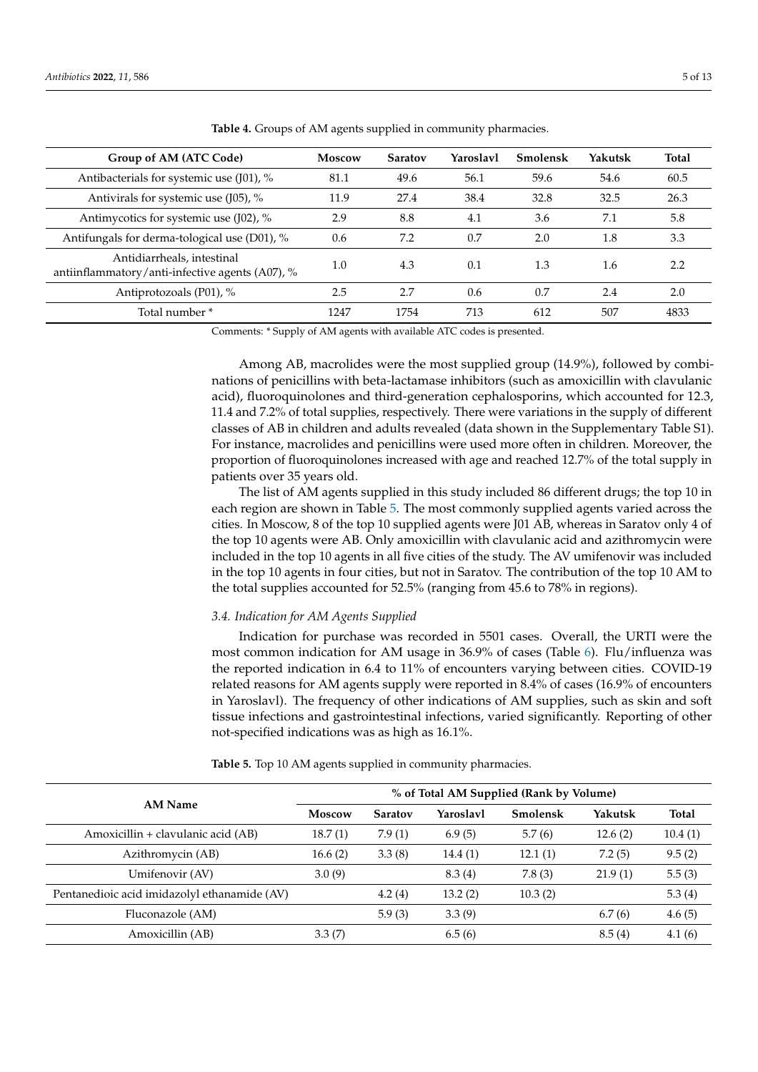| Group of AM (ATC Code)                                                        | Moscow | <b>Saratov</b> | Yaroslavl | <b>Smolensk</b> | Yakutsk | <b>Total</b> |
|-------------------------------------------------------------------------------|--------|----------------|-----------|-----------------|---------|--------------|
| Antibacterials for systemic use (J01), %                                      | 81.1   | 49.6           | 56.1      | 59.6            | 54.6    | 60.5         |
| Antivirals for systemic use (J05), %                                          | 11.9   | 27.4           | 38.4      | 32.8            | 32.5    | 26.3         |
| Antimycotics for systemic use (J02), %                                        | 2.9    | 8.8            | 4.1       | 3.6             | 7.1     | 5.8          |
| Antifungals for derma-tological use (D01), %                                  | 0.6    | 7.2            | 0.7       | 2.0             | 1.8     | 3.3          |
| Antidiarrheals, intestinal<br>antiinflammatory/anti-infective agents (A07), % | 1.0    | 4.3            | 0.1       | 1.3             | 1.6     | 2.2          |
| Antiprotozoals (P01), %                                                       | 2.5    | 2.7            | 0.6       | 0.7             | 2.4     | 2.0          |
| Total number *                                                                | 1247   | 1754           | 713       | 612             | 507     | 4833         |

<span id="page-4-0"></span>**Table 4.** Groups of AM agents supplied in community pharmacies.

Comments: \* Supply of AM agents with available ATC codes is presented.

Among AB, macrolides were the most supplied group (14.9%), followed by combinations of penicillins with beta-lactamase inhibitors (such as amoxicillin with clavulanic acid), fluoroquinolones and third-generation cephalosporins, which accounted for 12.3, 11.4 and 7.2% of total supplies, respectively. There were variations in the supply of different classes of AB in children and adults revealed (data shown in the Supplementary Table S1). For instance, macrolides and penicillins were used more often in children. Moreover, the proportion of fluoroquinolones increased with age and reached 12.7% of the total supply in patients over 35 years old.

The list of AM agents supplied in this study included 86 different drugs; the top 10 in each region are shown in Table [5.](#page-4-1) The most commonly supplied agents varied across the cities. In Moscow, 8 of the top 10 supplied agents were J01 AB, whereas in Saratov only 4 of the top 10 agents were AB. Only amoxicillin with clavulanic acid and azithromycin were included in the top 10 agents in all five cities of the study. The AV umifenovir was included in the top 10 agents in four cities, but not in Saratov. The contribution of the top 10 AM to the total supplies accounted for 52.5% (ranging from 45.6 to 78% in regions).

### *3.4. Indication for AM Agents Supplied*

Indication for purchase was recorded in 5501 cases. Overall, the URTI were the most common indication for AM usage in 36.9% of cases (Table [6\)](#page-5-0). Flu/influenza was the reported indication in 6.4 to 11% of encounters varying between cities. COVID-19 related reasons for AM agents supply were reported in 8.4% of cases (16.9% of encounters in Yaroslavl). The frequency of other indications of AM supplies, such as skin and soft tissue infections and gastrointestinal infections, varied significantly. Reporting of other not-specified indications was as high as 16.1%.

|                                              | % of Total AM Supplied (Rank by Volume) |                |           |                 |         |              |  |  |
|----------------------------------------------|-----------------------------------------|----------------|-----------|-----------------|---------|--------------|--|--|
| <b>AM Name</b>                               | Moscow                                  | <b>Saratov</b> | Yaroslavl | <b>Smolensk</b> | Yakutsk | <b>Total</b> |  |  |
| Amoxicillin + clavulanic acid (AB)           | 18.7(1)                                 | 7.9(1)         | 6.9(5)    | 5.7(6)          | 12.6(2) | 10.4(1)      |  |  |
| Azithromycin (AB)                            | 16.6(2)                                 | 3.3(8)         | 14.4(1)   | 12.1(1)         | 7.2(5)  | 9.5(2)       |  |  |
| Umifenovir (AV)                              | 3.0(9)                                  |                | 8.3(4)    | 7.8(3)          | 21.9(1) | 5.5(3)       |  |  |
| Pentanedioic acid imidazolyl ethanamide (AV) |                                         | 4.2(4)         | 13.2(2)   | 10.3(2)         |         | 5.3(4)       |  |  |
| Fluconazole (AM)                             |                                         | 5.9(3)         | 3.3(9)    |                 | 6.7(6)  | 4.6(5)       |  |  |
| Amoxicillin (AB)                             | 3.3(7)                                  |                | 6.5(6)    |                 | 8.5(4)  | 4.1(6)       |  |  |

<span id="page-4-1"></span>**Table 5.** Top 10 AM agents supplied in community pharmacies.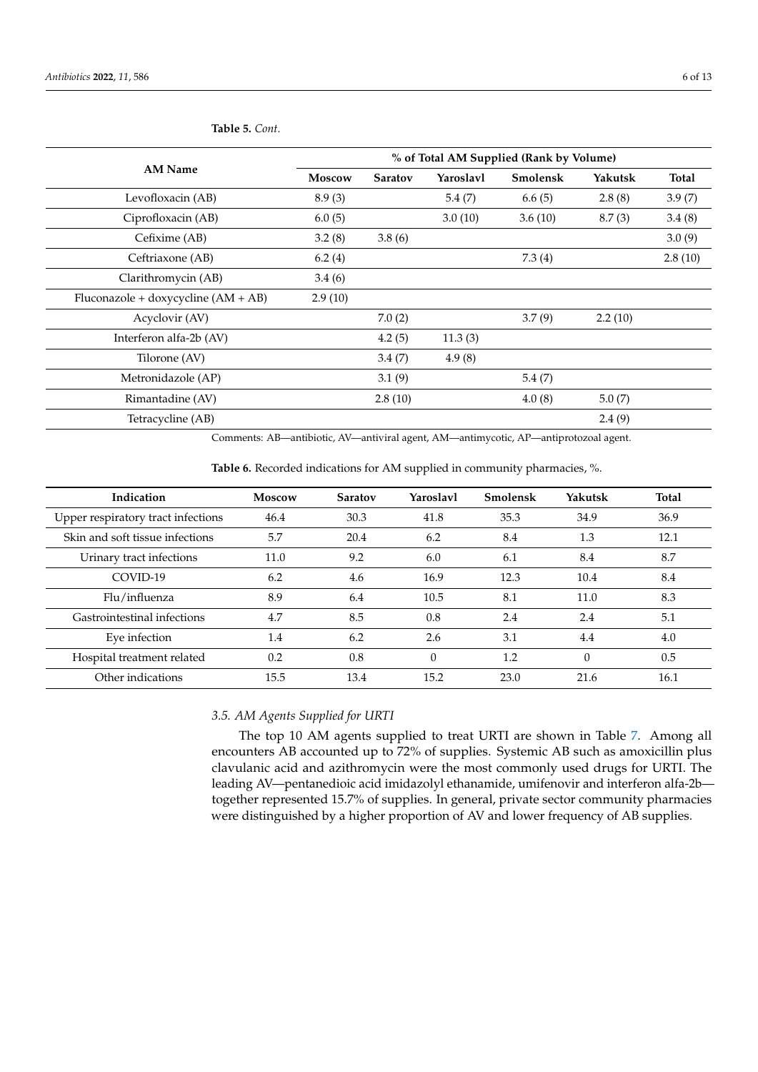|                                       | % of Total AM Supplied (Rank by Volume) |                |           |                 |         |         |  |  |
|---------------------------------------|-----------------------------------------|----------------|-----------|-----------------|---------|---------|--|--|
| <b>AM Name</b>                        | Moscow                                  | <b>Saratov</b> | Yaroslavl | <b>Smolensk</b> | Yakutsk | Total   |  |  |
| Levofloxacin (AB)                     | 8.9(3)                                  |                | 5.4(7)    | 6.6(5)          | 2.8(8)  | 3.9(7)  |  |  |
| Ciprofloxacin (AB)                    | 6.0(5)                                  |                | 3.0(10)   | 3.6(10)         | 8.7(3)  | 3.4(8)  |  |  |
| Cefixime (AB)                         | 3.2(8)                                  | 3.8(6)         |           |                 |         | 3.0(9)  |  |  |
| Ceftriaxone (AB)                      | 6.2(4)                                  |                |           | 7.3(4)          |         | 2.8(10) |  |  |
| Clarithromycin (AB)                   | 3.4(6)                                  |                |           |                 |         |         |  |  |
| Fluconazole + doxycycline $(AM + AB)$ | 2.9(10)                                 |                |           |                 |         |         |  |  |
| Acyclovir (AV)                        |                                         | 7.0(2)         |           | 3.7(9)          | 2.2(10) |         |  |  |
| Interferon alfa-2b (AV)               |                                         | 4.2(5)         | 11.3(3)   |                 |         |         |  |  |
| Tilorone (AV)                         |                                         | 3.4(7)         | 4.9(8)    |                 |         |         |  |  |
| Metronidazole (AP)                    |                                         | 3.1(9)         |           | 5.4(7)          |         |         |  |  |
| Rimantadine (AV)                      |                                         | 2.8(10)        |           | 4.0(8)          | 5.0(7)  |         |  |  |
| Tetracycline (AB)                     |                                         |                |           |                 | 2.4(9)  |         |  |  |

**Table 5.** *Cont.*

Comments: AB—antibiotic, AV—antiviral agent, AM—antimycotic, AP—antiprotozoal agent.

<span id="page-5-0"></span>**Table 6.** Recorded indications for AM supplied in community pharmacies, %.

| Indication                         | <b>Moscow</b> | <b>Saratov</b> | Yaroslavl | Smolensk | Yakutsk  | <b>Total</b> |
|------------------------------------|---------------|----------------|-----------|----------|----------|--------------|
| Upper respiratory tract infections | 46.4          | 30.3           | 41.8      | 35.3     | 34.9     | 36.9         |
| Skin and soft tissue infections    | 5.7           | 20.4           | 6.2       | 8.4      | 1.3      | 12.1         |
| Urinary tract infections           | 11.0          | 9.2            | 6.0       | 6.1      | 8.4      | 8.7          |
| COVID-19                           | 6.2           | 4.6            | 16.9      | 12.3     | 10.4     | 8.4          |
| Flu/influenza                      | 8.9           | 6.4            | 10.5      | 8.1      | 11.0     | 8.3          |
| Gastrointestinal infections        | 4.7           | 8.5            | 0.8       | 2.4      | 2.4      | 5.1          |
| Eye infection                      | 1.4           | 6.2            | 2.6       | 3.1      | 4.4      | 4.0          |
| Hospital treatment related         | 0.2           | 0.8            | $\Omega$  | 1.2      | $\theta$ | 0.5          |
| Other indications                  | 15.5          | 13.4           | 15.2      | 23.0     | 21.6     | 16.1         |

# *3.5. AM Agents Supplied for URTI*

The top 10 AM agents supplied to treat URTI are shown in Table [7.](#page-6-0) Among all encounters AB accounted up to 72% of supplies. Systemic AB such as amoxicillin plus clavulanic acid and azithromycin were the most commonly used drugs for URTI. The leading AV—pentanedioic acid imidazolyl ethanamide, umifenovir and interferon alfa-2b together represented 15.7% of supplies. In general, private sector community pharmacies were distinguished by a higher proportion of AV and lower frequency of AB supplies.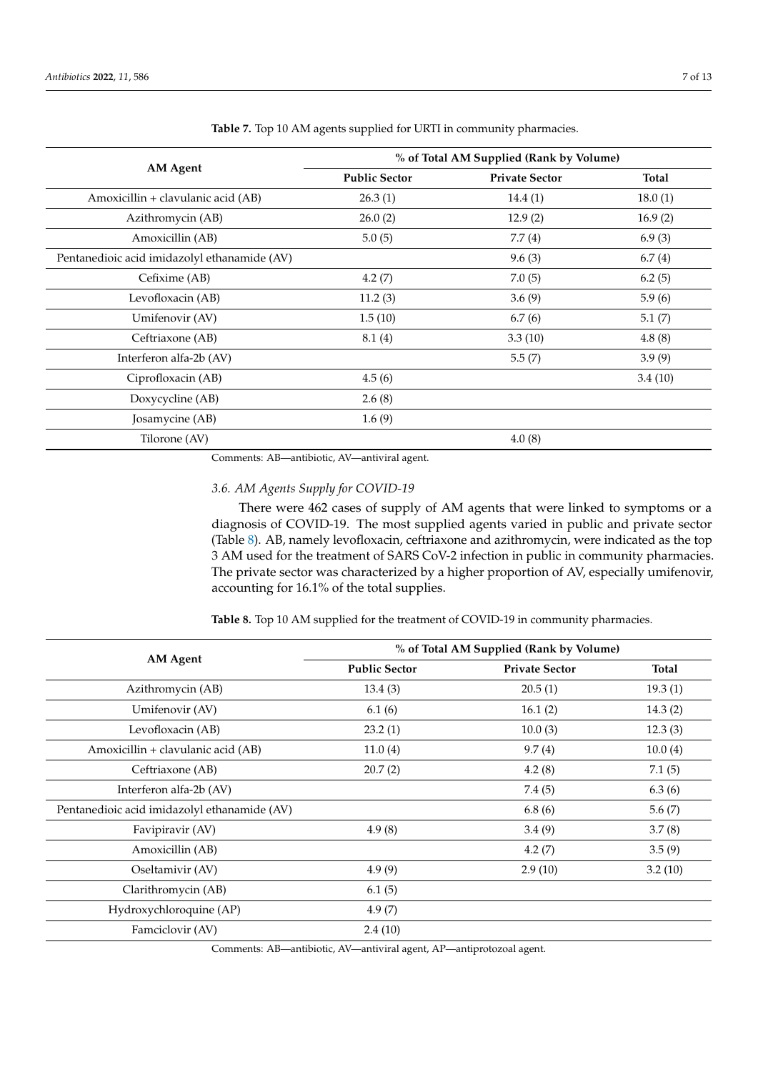|                                              | % of Total AM Supplied (Rank by Volume) |                       |              |  |  |  |
|----------------------------------------------|-----------------------------------------|-----------------------|--------------|--|--|--|
| AM Agent                                     | <b>Public Sector</b>                    | <b>Private Sector</b> | <b>Total</b> |  |  |  |
| Amoxicillin + clavulanic acid (AB)           | 26.3(1)                                 | 14.4(1)               | 18.0(1)      |  |  |  |
| Azithromycin (AB)                            | 26.0(2)                                 | 12.9(2)               | 16.9(2)      |  |  |  |
| Amoxicillin (AB)                             | 5.0(5)                                  | 7.7(4)                | 6.9(3)       |  |  |  |
| Pentanedioic acid imidazolyl ethanamide (AV) |                                         | 9.6(3)                | 6.7(4)       |  |  |  |
| Cefixime (AB)                                | 4.2(7)                                  | 7.0(5)                | 6.2(5)       |  |  |  |
| Levofloxacin (AB)                            | 11.2(3)                                 | 3.6(9)                | 5.9(6)       |  |  |  |
| Umifenovir (AV)                              | 1.5(10)                                 | 6.7(6)                | 5.1(7)       |  |  |  |
| Ceftriaxone (AB)                             | 8.1(4)                                  | 3.3(10)               | 4.8(8)       |  |  |  |
| Interferon alfa-2b (AV)                      |                                         | 5.5(7)                | 3.9(9)       |  |  |  |
| Ciprofloxacin (AB)                           | 4.5(6)                                  |                       | 3.4(10)      |  |  |  |
| Doxycycline (AB)                             | 2.6(8)                                  |                       |              |  |  |  |
| Josamycine (AB)                              | 1.6(9)                                  |                       |              |  |  |  |
| Tilorone (AV)                                |                                         | 4.0(8)                |              |  |  |  |

<span id="page-6-0"></span>**Table 7.** Top 10 AM agents supplied for URTI in community pharmacies.

Comments: AB—antibiotic, AV—antiviral agent.

# *3.6. AM Agents Supply for COVID-19*

There were 462 cases of supply of AM agents that were linked to symptoms or a diagnosis of COVID-19. The most supplied agents varied in public and private sector (Table [8\)](#page-6-1). AB, namely levofloxacin, ceftriaxone and azithromycin, were indicated as the top 3 AM used for the treatment of SARS CoV-2 infection in public in community pharmacies. The private sector was characterized by a higher proportion of AV, especially umifenovir, accounting for 16.1% of the total supplies.

<span id="page-6-1"></span>**Table 8.** Top 10 AM supplied for the treatment of COVID-19 in community pharmacies.

|                                              | % of Total AM Supplied (Rank by Volume) |                       |         |  |  |
|----------------------------------------------|-----------------------------------------|-----------------------|---------|--|--|
| AM Agent                                     | <b>Public Sector</b>                    | <b>Private Sector</b> | Total   |  |  |
| Azithromycin (AB)                            | 13.4(3)                                 | 20.5(1)               | 19.3(1) |  |  |
| Umifenovir (AV)                              | 6.1(6)                                  | 16.1(2)               | 14.3(2) |  |  |
| Levofloxacin (AB)                            | 23.2(1)                                 | 10.0(3)               | 12.3(3) |  |  |
| Amoxicillin + clavulanic acid (AB)           | 11.0(4)                                 | 9.7(4)                | 10.0(4) |  |  |
| Ceftriaxone (AB)                             | 20.7(2)                                 | 4.2(8)                | 7.1(5)  |  |  |
| Interferon alfa-2b (AV)                      |                                         | 7.4(5)                | 6.3(6)  |  |  |
| Pentanedioic acid imidazolyl ethanamide (AV) |                                         | 6.8(6)                | 5.6(7)  |  |  |
| Favipiravir (AV)                             | 4.9(8)                                  | 3.4(9)                | 3.7(8)  |  |  |
| Amoxicillin (AB)                             |                                         | 4.2(7)                | 3.5(9)  |  |  |
| Oseltamivir (AV)                             | 4.9(9)                                  | 2.9(10)               | 3.2(10) |  |  |
| Clarithromycin (AB)                          | 6.1(5)                                  |                       |         |  |  |
| Hydroxychloroquine (AP)                      | 4.9(7)                                  |                       |         |  |  |
| Famciclovir (AV)                             | 2.4(10)                                 |                       |         |  |  |

Comments: AB—antibiotic, AV—antiviral agent, AP—antiprotozoal agent.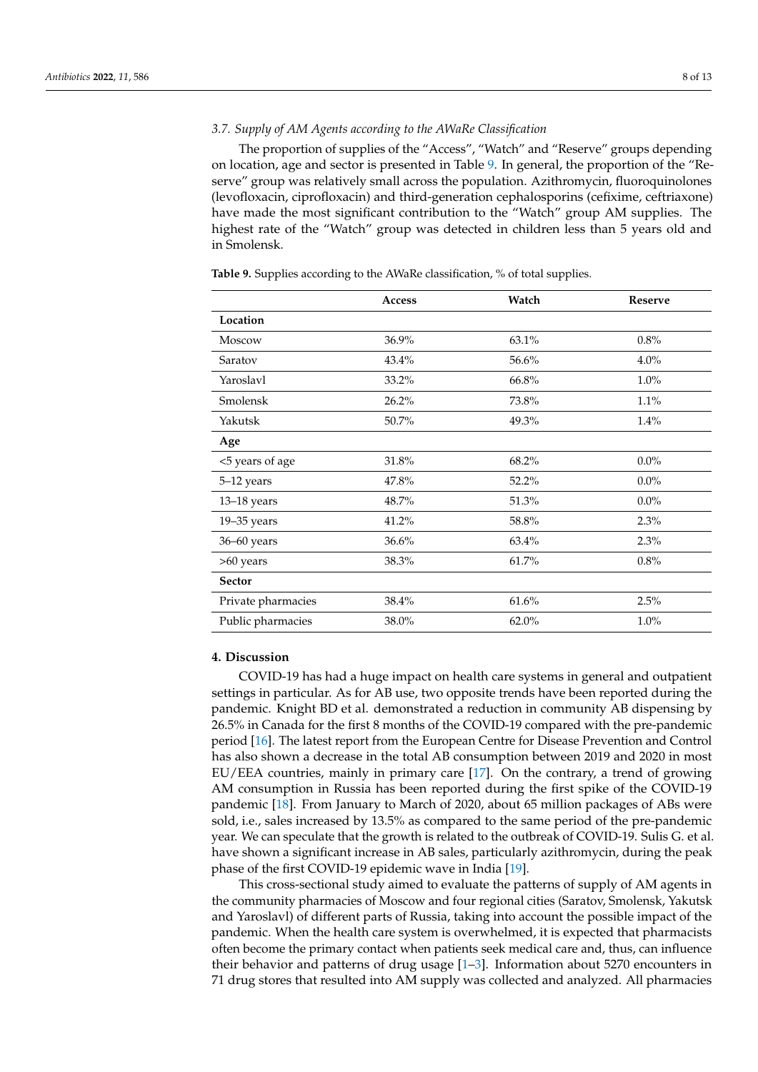# *3.7. Supply of AM Agents according to the AWaRe Classification*

The proportion of supplies of the "Access", "Watch" and "Reserve" groups depending on location, age and sector is presented in Table [9.](#page-7-0) In general, the proportion of the "Reserve" group was relatively small across the population. Azithromycin, fluoroquinolones (levofloxacin, ciprofloxacin) and third-generation cephalosporins (cefixime, ceftriaxone) have made the most significant contribution to the "Watch" group AM supplies. The highest rate of the "Watch" group was detected in children less than 5 years old and in Smolensk.

<span id="page-7-0"></span>**Table 9.** Supplies according to the AWaRe classification, % of total supplies.

|                    | <b>Access</b> | Watch    | <b>Reserve</b> |
|--------------------|---------------|----------|----------------|
| Location           |               |          |                |
| Moscow             | 36.9%         | 63.1%    | 0.8%           |
| Saratov            | 43.4%         | 56.6%    | 4.0%           |
| Yaroslavl          | 33.2%         | 66.8%    | 1.0%           |
| Smolensk           | 26.2%         | 73.8%    | 1.1%           |
| Yakutsk            | 50.7%         | 49.3%    | 1.4%           |
| Age                |               |          |                |
| <5 years of age    | 31.8%         | 68.2%    | $0.0\%$        |
| 5-12 years         | 47.8%         | 52.2%    | $0.0\%$        |
| $13-18$ years      | 48.7%         | 51.3%    | $0.0\%$        |
| $19 - 35$ years    | 41.2%         | 58.8%    | 2.3%           |
| 36-60 years        | 36.6%         | 63.4%    | 2.3%           |
| >60 years          | 38.3%         | 61.7%    | 0.8%           |
| <b>Sector</b>      |               |          |                |
| Private pharmacies | 38.4%         | 61.6%    | 2.5%           |
| Public pharmacies  | 38.0%         | $62.0\%$ | 1.0%           |

#### **4. Discussion**

COVID-19 has had a huge impact on health care systems in general and outpatient settings in particular. As for AB use, two opposite trends have been reported during the pandemic. Knight BD et al. demonstrated a reduction in community AB dispensing by 26.5% in Canada for the first 8 months of the COVID-19 compared with the pre-pandemic period [\[16\]](#page-11-13). The latest report from the European Centre for Disease Prevention and Control has also shown a decrease in the total AB consumption between 2019 and 2020 in most EU/EEA countries, mainly in primary care [\[17\]](#page-11-14). On the contrary, a trend of growing AM consumption in Russia has been reported during the first spike of the COVID-19 pandemic [\[18\]](#page-11-15). From January to March of 2020, about 65 million packages of ABs were sold, i.e., sales increased by 13.5% as compared to the same period of the pre-pandemic year. We can speculate that the growth is related to the outbreak of COVID-19. Sulis G. et al. have shown a significant increase in AB sales, particularly azithromycin, during the peak phase of the first COVID-19 epidemic wave in India [\[19\]](#page-11-16).

This cross-sectional study aimed to evaluate the patterns of supply of AM agents in the community pharmacies of Moscow and four regional cities (Saratov, Smolensk, Yakutsk and Yaroslavl) of different parts of Russia, taking into account the possible impact of the pandemic. When the health care system is overwhelmed, it is expected that pharmacists often become the primary contact when patients seek medical care and, thus, can influence their behavior and patterns of drug usage [\[1–](#page-11-0)[3\]](#page-11-1). Information about 5270 encounters in 71 drug stores that resulted into AM supply was collected and analyzed. All pharmacies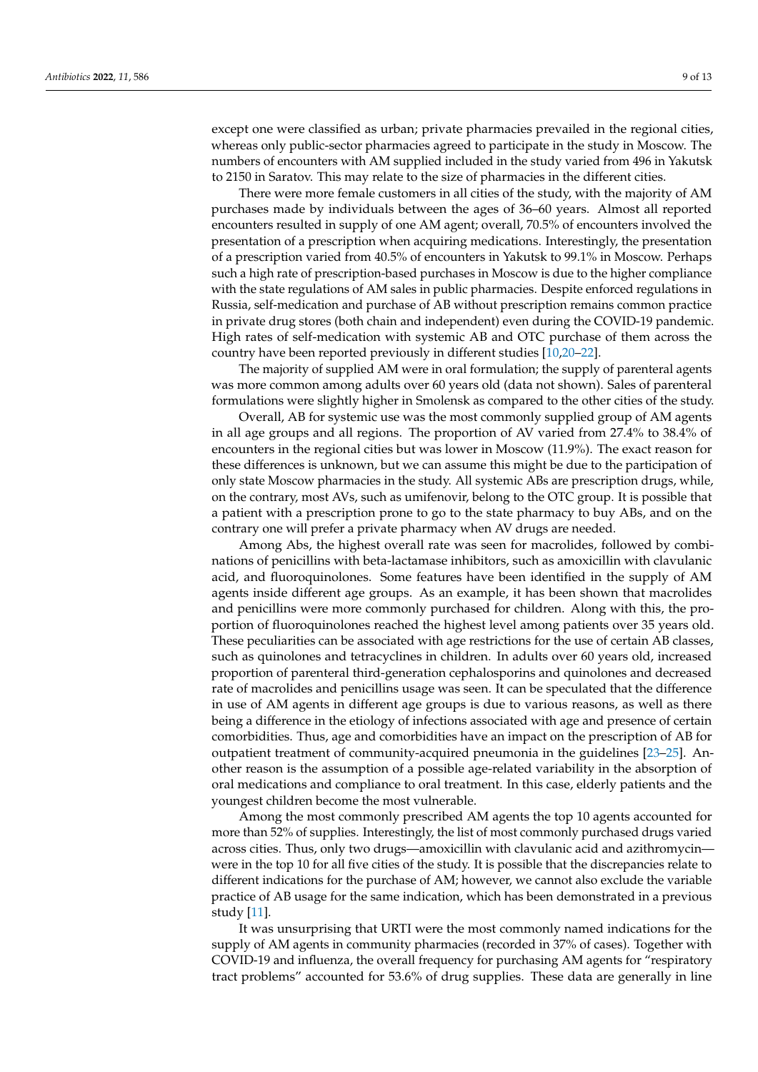except one were classified as urban; private pharmacies prevailed in the regional cities, whereas only public-sector pharmacies agreed to participate in the study in Moscow. The numbers of encounters with AM supplied included in the study varied from 496 in Yakutsk to 2150 in Saratov. This may relate to the size of pharmacies in the different cities.

There were more female customers in all cities of the study, with the majority of AM purchases made by individuals between the ages of 36–60 years. Almost all reported encounters resulted in supply of one AM agent; overall, 70.5% of encounters involved the presentation of a prescription when acquiring medications. Interestingly, the presentation of a prescription varied from 40.5% of encounters in Yakutsk to 99.1% in Moscow. Perhaps such a high rate of prescription-based purchases in Moscow is due to the higher compliance with the state regulations of AM sales in public pharmacies. Despite enforced regulations in Russia, self-medication and purchase of AB without prescription remains common practice in private drug stores (both chain and independent) even during the COVID-19 pandemic. High rates of self-medication with systemic AB and OTC purchase of them across the country have been reported previously in different studies [\[10,](#page-11-7)[20–](#page-11-17)[22\]](#page-12-0).

The majority of supplied AM were in oral formulation; the supply of parenteral agents was more common among adults over 60 years old (data not shown). Sales of parenteral formulations were slightly higher in Smolensk as compared to the other cities of the study.

Overall, AB for systemic use was the most commonly supplied group of AM agents in all age groups and all regions. The proportion of AV varied from 27.4% to 38.4% of encounters in the regional cities but was lower in Moscow (11.9%). The exact reason for these differences is unknown, but we can assume this might be due to the participation of only state Moscow pharmacies in the study. All systemic ABs are prescription drugs, while, on the contrary, most AVs, such as umifenovir, belong to the OTC group. It is possible that a patient with a prescription prone to go to the state pharmacy to buy ABs, and on the contrary one will prefer a private pharmacy when AV drugs are needed.

Among Abs, the highest overall rate was seen for macrolides, followed by combinations of penicillins with beta-lactamase inhibitors, such as amoxicillin with clavulanic acid, and fluoroquinolones. Some features have been identified in the supply of AM agents inside different age groups. As an example, it has been shown that macrolides and penicillins were more commonly purchased for children. Along with this, the proportion of fluoroquinolones reached the highest level among patients over 35 years old. These peculiarities can be associated with age restrictions for the use of certain AB classes, such as quinolones and tetracyclines in children. In adults over 60 years old, increased proportion of parenteral third-generation cephalosporins and quinolones and decreased rate of macrolides and penicillins usage was seen. It can be speculated that the difference in use of AM agents in different age groups is due to various reasons, as well as there being a difference in the etiology of infections associated with age and presence of certain comorbidities. Thus, age and comorbidities have an impact on the prescription of AB for outpatient treatment of community-acquired pneumonia in the guidelines [\[23](#page-12-1)[–25\]](#page-12-2). Another reason is the assumption of a possible age-related variability in the absorption of oral medications and compliance to oral treatment. In this case, elderly patients and the youngest children become the most vulnerable.

Among the most commonly prescribed AM agents the top 10 agents accounted for more than 52% of supplies. Interestingly, the list of most commonly purchased drugs varied across cities. Thus, only two drugs—amoxicillin with clavulanic acid and azithromycin were in the top 10 for all five cities of the study. It is possible that the discrepancies relate to different indications for the purchase of AM; however, we cannot also exclude the variable practice of AB usage for the same indication, which has been demonstrated in a previous study [\[11\]](#page-11-8).

It was unsurprising that URTI were the most commonly named indications for the supply of AM agents in community pharmacies (recorded in 37% of cases). Together with COVID-19 and influenza, the overall frequency for purchasing AM agents for "respiratory tract problems" accounted for 53.6% of drug supplies. These data are generally in line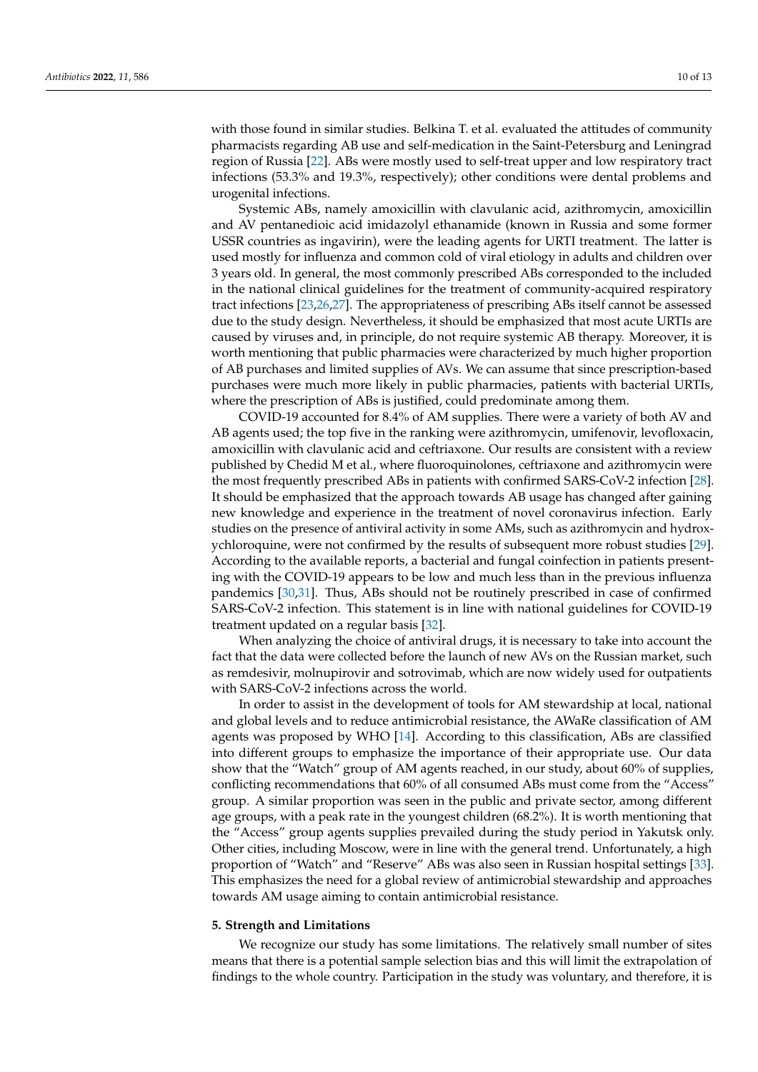with those found in similar studies. Belkina T. et al. evaluated the attitudes of community pharmacists regarding AB use and self-medication in the Saint-Petersburg and Leningrad region of Russia [\[22\]](#page-12-0). ABs were mostly used to self-treat upper and low respiratory tract infections (53.3% and 19.3%, respectively); other conditions were dental problems and urogenital infections.

Systemic ABs, namely amoxicillin with clavulanic acid, azithromycin, amoxicillin and AV pentanedioic acid imidazolyl ethanamide (known in Russia and some former USSR countries as ingavirin), were the leading agents for URTI treatment. The latter is used mostly for influenza and common cold of viral etiology in adults and children over 3 years old. In general, the most commonly prescribed ABs corresponded to the included in the national clinical guidelines for the treatment of community-acquired respiratory tract infections [\[23](#page-12-1)[,26](#page-12-3)[,27\]](#page-12-4). The appropriateness of prescribing ABs itself cannot be assessed due to the study design. Nevertheless, it should be emphasized that most acute URTIs are caused by viruses and, in principle, do not require systemic AB therapy. Moreover, it is worth mentioning that public pharmacies were characterized by much higher proportion of AB purchases and limited supplies of AVs. We can assume that since prescription-based purchases were much more likely in public pharmacies, patients with bacterial URTIs, where the prescription of ABs is justified, could predominate among them.

COVID-19 accounted for 8.4% of AM supplies. There were a variety of both AV and AB agents used; the top five in the ranking were azithromycin, umifenovir, levofloxacin, amoxicillin with clavulanic acid and ceftriaxone. Our results are consistent with a review published by Chedid M et al., where fluoroquinolones, ceftriaxone and azithromycin were the most frequently prescribed ABs in patients with confirmed SARS-CoV-2 infection [\[28\]](#page-12-5). It should be emphasized that the approach towards AB usage has changed after gaining new knowledge and experience in the treatment of novel coronavirus infection. Early studies on the presence of antiviral activity in some AMs, such as azithromycin and hydroxychloroquine, were not confirmed by the results of subsequent more robust studies [\[29\]](#page-12-6). According to the available reports, a bacterial and fungal coinfection in patients presenting with the COVID-19 appears to be low and much less than in the previous influenza pandemics [\[30,](#page-12-7)[31\]](#page-12-8). Thus, ABs should not be routinely prescribed in case of confirmed SARS-CoV-2 infection. This statement is in line with national guidelines for COVID-19 treatment updated on a regular basis [\[32\]](#page-12-9).

When analyzing the choice of antiviral drugs, it is necessary to take into account the fact that the data were collected before the launch of new AVs on the Russian market, such as remdesivir, molnupirovir and sotrovimab, which are now widely used for outpatients with SARS-CoV-2 infections across the world.

In order to assist in the development of tools for AM stewardship at local, national and global levels and to reduce antimicrobial resistance, the AWaRe classification of AM agents was proposed by WHO [\[14\]](#page-11-11). According to this classification, ABs are classified into different groups to emphasize the importance of their appropriate use. Our data show that the "Watch" group of AM agents reached, in our study, about 60% of supplies, conflicting recommendations that 60% of all consumed ABs must come from the "Access" group. A similar proportion was seen in the public and private sector, among different age groups, with a peak rate in the youngest children (68.2%). It is worth mentioning that the "Access" group agents supplies prevailed during the study period in Yakutsk only. Other cities, including Moscow, were in line with the general trend. Unfortunately, a high proportion of "Watch" and "Reserve" ABs was also seen in Russian hospital settings [\[33\]](#page-12-10). This emphasizes the need for a global review of antimicrobial stewardship and approaches towards AM usage aiming to contain antimicrobial resistance.

# **5. Strength and Limitations**

We recognize our study has some limitations. The relatively small number of sites means that there is a potential sample selection bias and this will limit the extrapolation of findings to the whole country. Participation in the study was voluntary, and therefore, it is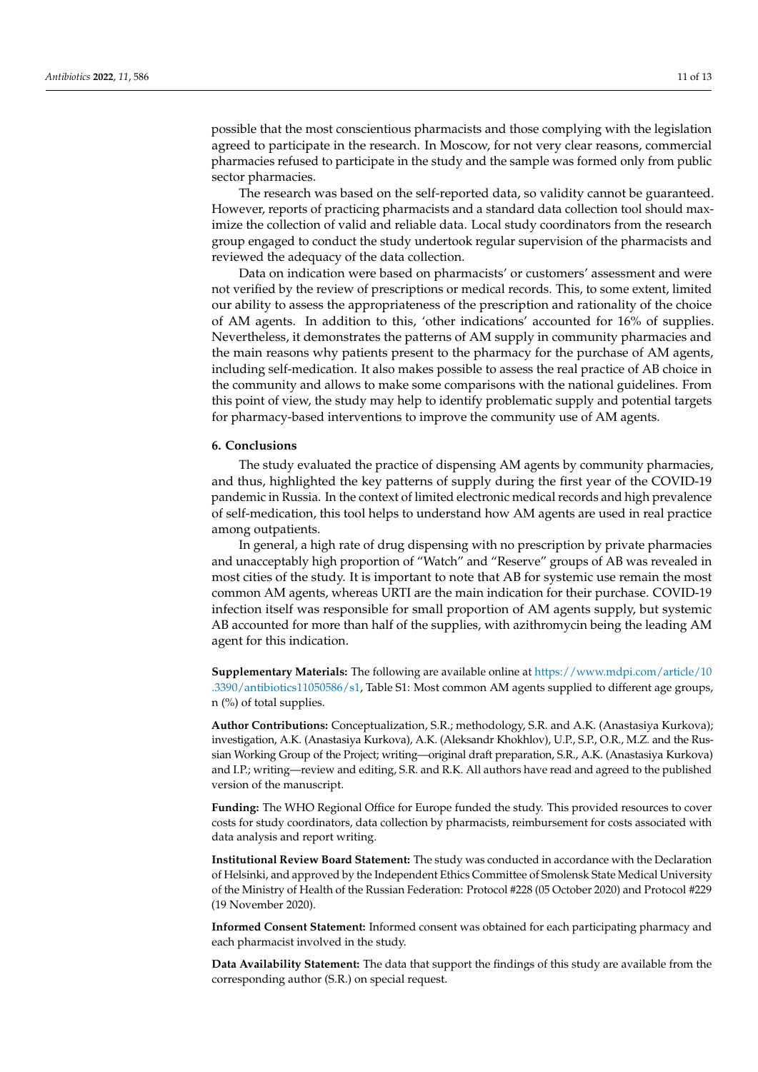possible that the most conscientious pharmacists and those complying with the legislation agreed to participate in the research. In Moscow, for not very clear reasons, commercial pharmacies refused to participate in the study and the sample was formed only from public sector pharmacies.

The research was based on the self-reported data, so validity cannot be guaranteed. However, reports of practicing pharmacists and a standard data collection tool should maximize the collection of valid and reliable data. Local study coordinators from the research group engaged to conduct the study undertook regular supervision of the pharmacists and reviewed the adequacy of the data collection.

Data on indication were based on pharmacists' or customers' assessment and were not verified by the review of prescriptions or medical records. This, to some extent, limited our ability to assess the appropriateness of the prescription and rationality of the choice of AM agents. In addition to this, 'other indications' accounted for 16% of supplies. Nevertheless, it demonstrates the patterns of AM supply in community pharmacies and the main reasons why patients present to the pharmacy for the purchase of AM agents, including self-medication. It also makes possible to assess the real practice of AB choice in the community and allows to make some comparisons with the national guidelines. From this point of view, the study may help to identify problematic supply and potential targets for pharmacy-based interventions to improve the community use of AM agents.

#### **6. Conclusions**

The study evaluated the practice of dispensing AM agents by community pharmacies, and thus, highlighted the key patterns of supply during the first year of the COVID-19 pandemic in Russia. In the context of limited electronic medical records and high prevalence of self-medication, this tool helps to understand how AM agents are used in real practice among outpatients.

In general, a high rate of drug dispensing with no prescription by private pharmacies and unacceptably high proportion of "Watch" and "Reserve" groups of AB was revealed in most cities of the study. It is important to note that AB for systemic use remain the most common AM agents, whereas URTI are the main indication for their purchase. COVID-19 infection itself was responsible for small proportion of AM agents supply, but systemic AB accounted for more than half of the supplies, with azithromycin being the leading AM agent for this indication.

**Supplementary Materials:** The following are available online at [https://www.mdpi.com/article/10](https://www.mdpi.com/article/10.3390/antibiotics11050586/s1) [.3390/antibiotics11050586/s1,](https://www.mdpi.com/article/10.3390/antibiotics11050586/s1) Table S1: Most common AM agents supplied to different age groups, n (%) of total supplies.

**Author Contributions:** Conceptualization, S.R.; methodology, S.R. and A.K. (Anastasiya Kurkova); investigation, A.K. (Anastasiya Kurkova), A.K. (Aleksandr Khokhlov), U.P., S.P., O.R., M.Z. and the Russian Working Group of the Project; writing—original draft preparation, S.R., A.K. (Anastasiya Kurkova) and I.P.; writing—review and editing, S.R. and R.K. All authors have read and agreed to the published version of the manuscript.

**Funding:** The WHO Regional Office for Europe funded the study. This provided resources to cover costs for study coordinators, data collection by pharmacists, reimbursement for costs associated with data analysis and report writing.

**Institutional Review Board Statement:** The study was conducted in accordance with the Declaration of Helsinki, and approved by the Independent Ethics Committee of Smolensk State Medical University of the Ministry of Health of the Russian Federation: Protocol #228 (05 October 2020) and Protocol #229 (19 November 2020).

**Informed Consent Statement:** Informed consent was obtained for each participating pharmacy and each pharmacist involved in the study.

**Data Availability Statement:** The data that support the findings of this study are available from the corresponding author (S.R.) on special request.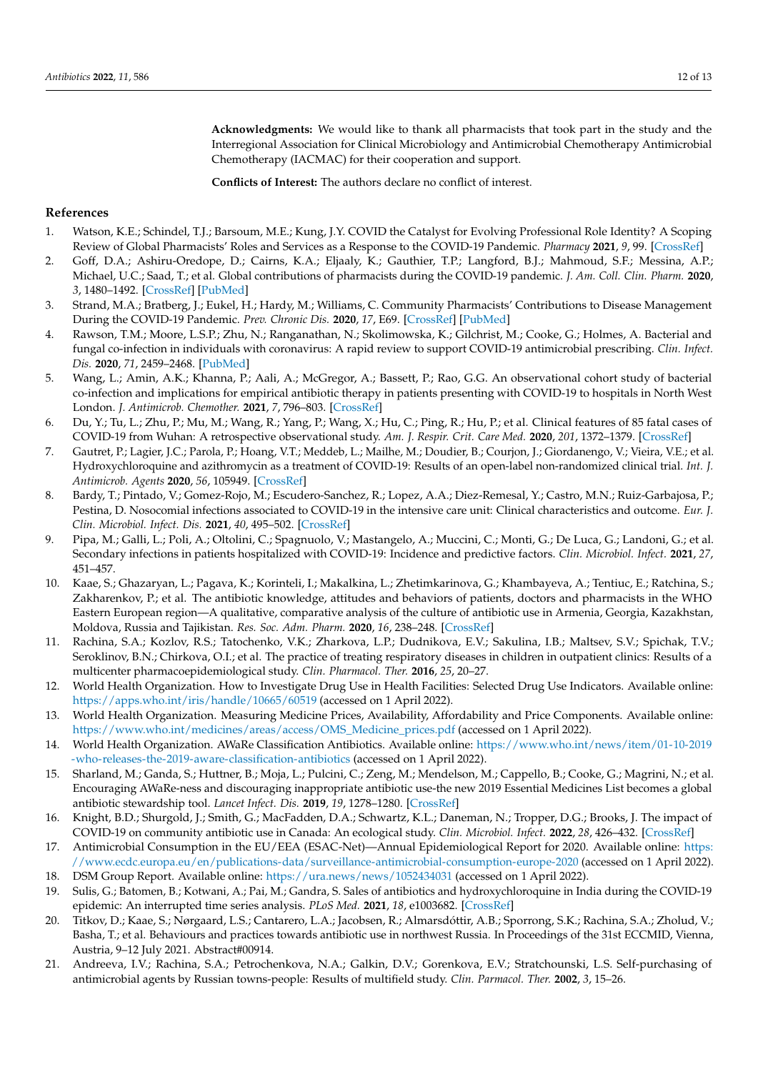**Acknowledgments:** We would like to thank all pharmacists that took part in the study and the Interregional Association for Clinical Microbiology and Antimicrobial Chemotherapy Antimicrobial Chemotherapy (IACMAC) for their cooperation and support.

**Conflicts of Interest:** The authors declare no conflict of interest.

#### **References**

- <span id="page-11-0"></span>1. Watson, K.E.; Schindel, T.J.; Barsoum, M.E.; Kung, J.Y. COVID the Catalyst for Evolving Professional Role Identity? A Scoping Review of Global Pharmacists' Roles and Services as a Response to the COVID-19 Pandemic. *Pharmacy* **2021**, *9*, 99. [\[CrossRef\]](http://doi.org/10.3390/pharmacy9020099)
- 2. Goff, D.A.; Ashiru-Oredope, D.; Cairns, K.A.; Eljaaly, K.; Gauthier, T.P.; Langford, B.J.; Mahmoud, S.F.; Messina, A.P.; Michael, U.C.; Saad, T.; et al. Global contributions of pharmacists during the COVID-19 pandemic. *J. Am. Coll. Clin. Pharm.* **2020**, *3*, 1480–1492. [\[CrossRef\]](http://doi.org/10.1002/jac5.1329) [\[PubMed\]](http://www.ncbi.nlm.nih.gov/pubmed/33043280)
- <span id="page-11-1"></span>3. Strand, M.A.; Bratberg, J.; Eukel, H.; Hardy, M.; Williams, C. Community Pharmacists' Contributions to Disease Management During the COVID-19 Pandemic. *Prev. Chronic Dis.* **2020**, *17*, E69. [\[CrossRef\]](http://doi.org/10.5888/pcd17.200317) [\[PubMed\]](http://www.ncbi.nlm.nih.gov/pubmed/32701431)
- <span id="page-11-2"></span>4. Rawson, T.M.; Moore, L.S.P.; Zhu, N.; Ranganathan, N.; Skolimowska, K.; Gilchrist, M.; Cooke, G.; Holmes, A. Bacterial and fungal co-infection in individuals with coronavirus: A rapid review to support COVID-19 antimicrobial prescribing. *Clin. Infect. Dis.* **2020**, *71*, 2459–2468. [\[PubMed\]](http://www.ncbi.nlm.nih.gov/pubmed/32358954)
- 5. Wang, L.; Amin, A.K.; Khanna, P.; Aali, A.; McGregor, A.; Bassett, P.; Rao, G.G. An observational cohort study of bacterial co-infection and implications for empirical antibiotic therapy in patients presenting with COVID-19 to hospitals in North West London. *J. Antimicrob. Chemother.* **2021**, *7*, 796–803. [\[CrossRef\]](http://doi.org/10.1093/jac/dkaa475)
- <span id="page-11-3"></span>6. Du, Y.; Tu, L.; Zhu, P.; Mu, M.; Wang, R.; Yang, P.; Wang, X.; Hu, C.; Ping, R.; Hu, P.; et al. Clinical features of 85 fatal cases of COVID-19 from Wuhan: A retrospective observational study. *Am. J. Respir. Crit. Care Med.* **2020**, *201*, 1372–1379. [\[CrossRef\]](http://doi.org/10.1164/rccm.202003-0543OC)
- <span id="page-11-4"></span>7. Gautret, P.; Lagier, J.C.; Parola, P.; Hoang, V.T.; Meddeb, L.; Mailhe, M.; Doudier, B.; Courjon, J.; Giordanengo, V.; Vieira, V.E.; et al. Hydroxychloroquine and azithromycin as a treatment of COVID-19: Results of an open-label non-randomized clinical trial. *Int. J. Antimicrob. Agents* **2020**, *56*, 105949. [\[CrossRef\]](http://doi.org/10.1016/j.ijantimicag.2020.105949)
- <span id="page-11-5"></span>8. Bardy, T.; Pintado, V.; Gomez-Rojo, M.; Escudero-Sanchez, R.; Lopez, A.A.; Diez-Remesal, Y.; Castro, M.N.; Ruiz-Garbajosa, P.; Pestina, D. Nosocomial infections associated to COVID-19 in the intensive care unit: Clinical characteristics and outcome. *Eur. J. Clin. Microbiol. Infect. Dis.* **2021**, *40*, 495–502. [\[CrossRef\]](http://doi.org/10.1007/s10096-020-04142-w)
- <span id="page-11-6"></span>9. Pipa, M.; Galli, L.; Poli, A.; Oltolini, C.; Spagnuolo, V.; Mastangelo, A.; Muccini, C.; Monti, G.; De Luca, G.; Landoni, G.; et al. Secondary infections in patients hospitalized with COVID-19: Incidence and predictive factors. *Clin. Microbiol. Infect.* **2021**, *27*, 451–457.
- <span id="page-11-7"></span>10. Kaae, S.; Ghazaryan, L.; Pagava, K.; Korinteli, I.; Makalkina, L.; Zhetimkarinova, G.; Khambayeva, A.; Tentiuc, E.; Ratchina, S.; Zakharenkov, P.; et al. The antibiotic knowledge, attitudes and behaviors of patients, doctors and pharmacists in the WHO Eastern European region—A qualitative, comparative analysis of the culture of antibiotic use in Armenia, Georgia, Kazakhstan, Moldova, Russia and Tajikistan. *Res. Soc. Adm. Pharm.* **2020**, *16*, 238–248. [\[CrossRef\]](http://doi.org/10.1016/j.sapharm.2019.05.014)
- <span id="page-11-8"></span>11. Rachina, S.A.; Kozlov, R.S.; Tatochenko, V.K.; Zharkova, L.P.; Dudnikova, E.V.; Sakulina, I.B.; Maltsev, S.V.; Spichak, T.V.; Seroklinov, B.N.; Chirkova, O.I.; et al. The practice of treating respiratory diseases in children in outpatient clinics: Results of a multicenter pharmacoepidemiological study. *Clin. Pharmacol. Ther.* **2016**, *25*, 20–27.
- <span id="page-11-9"></span>12. World Health Organization. How to Investigate Drug Use in Health Facilities: Selected Drug Use Indicators. Available online: <https://apps.who.int/iris/handle/10665/60519> (accessed on 1 April 2022).
- <span id="page-11-10"></span>13. World Health Organization. Measuring Medicine Prices, Availability, Affordability and Price Components. Available online: [https://www.who.int/medicines/areas/access/OMS\\_Medicine\\_prices.pdf](https://www.who.int/medicines/areas/access/OMS_Medicine_prices.pdf) (accessed on 1 April 2022).
- <span id="page-11-11"></span>14. World Health Organization. AWaRe Classification Antibiotics. Available online: [https://www.who.int/news/item/01-10-2019](https://www.who.int/news/item/01-10-2019-who-releases-the-2019-aware-classification-antibiotics) [-who-releases-the-2019-aware-classification-antibiotics](https://www.who.int/news/item/01-10-2019-who-releases-the-2019-aware-classification-antibiotics) (accessed on 1 April 2022).
- <span id="page-11-12"></span>15. Sharland, M.; Ganda, S.; Huttner, B.; Moja, L.; Pulcini, C.; Zeng, M.; Mendelson, M.; Cappello, B.; Cooke, G.; Magrini, N.; et al. Encouraging AWaRe-ness and discouraging inappropriate antibiotic use-the new 2019 Essential Medicines List becomes a global antibiotic stewardship tool. *Lancet Infect. Dis.* **2019**, *19*, 1278–1280. [\[CrossRef\]](http://doi.org/10.1016/S1473-3099(19)30532-8)
- <span id="page-11-13"></span>16. Knight, B.D.; Shurgold, J.; Smith, G.; MacFadden, D.A.; Schwartz, K.L.; Daneman, N.; Tropper, D.G.; Brooks, J. The impact of COVID-19 on community antibiotic use in Canada: An ecological study. *Clin. Microbiol. Infect.* **2022**, *28*, 426–432. [\[CrossRef\]](http://doi.org/10.1016/j.cmi.2021.10.013)
- <span id="page-11-14"></span>17. Antimicrobial Consumption in the EU/EEA (ESAC-Net)—Annual Epidemiological Report for 2020. Available online: [https:](https://www.ecdc.europa.eu/en/publications-data/surveillance-antimicrobial-consumption-europe-2020) [//www.ecdc.europa.eu/en/publications-data/surveillance-antimicrobial-consumption-europe-2020](https://www.ecdc.europa.eu/en/publications-data/surveillance-antimicrobial-consumption-europe-2020) (accessed on 1 April 2022).
- <span id="page-11-15"></span>18. DSM Group Report. Available online: <https://ura.news/news/1052434031> (accessed on 1 April 2022).
- <span id="page-11-16"></span>19. Sulis, G.; Batomen, B.; Kotwani, A.; Pai, M.; Gandra, S. Sales of antibiotics and hydroxychloroquine in India during the COVID-19 epidemic: An interrupted time series analysis. *PLoS Med.* **2021**, *18*, e1003682. [\[CrossRef\]](http://doi.org/10.1371/journal.pmed.1003682)
- <span id="page-11-17"></span>20. Titkov, D.; Kaae, S.; Nørgaard, L.S.; Cantarero, L.A.; Jacobsen, R.; Almarsdóttir, A.B.; Sporrong, S.K.; Rachina, S.A.; Zholud, V.; Basha, T.; et al. Behaviours and practices towards antibiotic use in northwest Russia. In Proceedings of the 31st ECCMID, Vienna, Austria, 9–12 July 2021. Abstract#00914.
- 21. Andreeva, I.V.; Rachina, S.A.; Petrochenkova, N.A.; Galkin, D.V.; Gorenkova, E.V.; Stratchounski, L.S. Self-purchasing of antimicrobial agents by Russian towns-people: Results of multifield study. *Clin. Parmacol. Ther.* **2002**, *3*, 15–26.